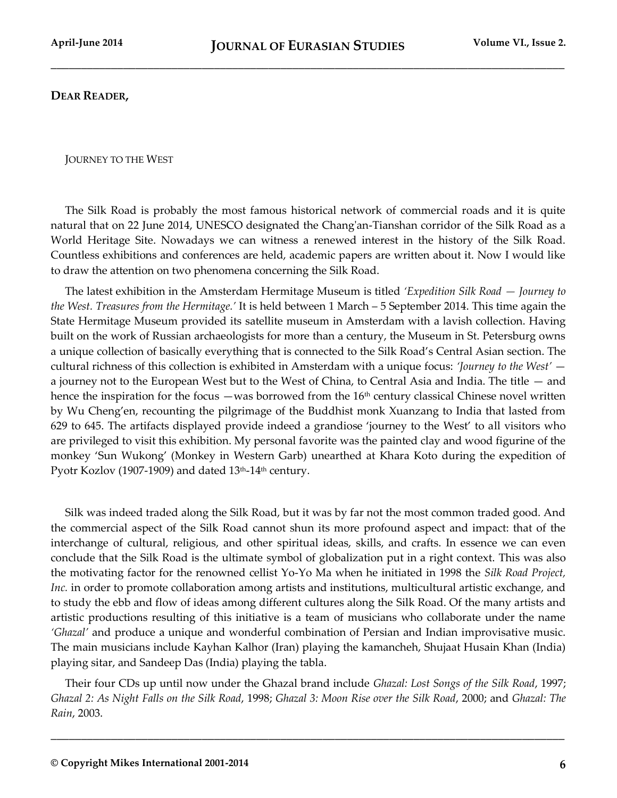**DEAR READER,**

JOURNEY TO THE WEST

The Silk Road is probably the most famous historical network of commercial roads and it is quite natural that on 22 June 2014, UNESCO designated the Chang'an-Tianshan corridor of the Silk Road as a World Heritage Site. Nowadays we can witness a renewed interest in the history of the Silk Road. Countless exhibitions and conferences are held, academic papers are written about it. Now I would like to draw the attention on two phenomena concerning the Silk Road.

The latest exhibition in the Amsterdam Hermitage Museum is titled *'Expedition Silk Road — Journey to the West. Treasures from the Hermitage.'* It is held between 1 March – 5 September 2014. This time again the State Hermitage Museum provided its satellite museum in Amsterdam with a lavish collection. Having built on the work of Russian archaeologists for more than a century, the Museum in St. Petersburg owns a unique collection of basically everything that is connected to the Silk Road's Central Asian section. The cultural richness of this collection is exhibited in Amsterdam with a unique focus: *'Journey to the West'* a journey not to the European West but to the West of China, to Central Asia and India. The title — and hence the inspiration for the focus —was borrowed from the  $16<sup>th</sup>$  century classical Chinese novel written by Wu Cheng'en, recounting the pilgrimage of the Buddhist monk Xuanzang to India that lasted from 629 to 645. The artifacts displayed provide indeed a grandiose 'journey to the West' to all visitors who are privileged to visit this exhibition. My personal favorite was the painted clay and wood figurine of the monkey 'Sun Wukong' (Monkey in Western Garb) unearthed at Khara Koto during the expedition of Pyotr Kozlov (1907-1909) and dated 13<sup>th</sup>-14<sup>th</sup> century.

Silk was indeed traded along the Silk Road, but it was by far not the most common traded good. And the commercial aspect of the Silk Road cannot shun its more profound aspect and impact: that of the interchange of cultural, religious, and other spiritual ideas, skills, and crafts. In essence we can even conclude that the Silk Road is the ultimate symbol of globalization put in a right context. This was also the motivating factor for the renowned cellist Yo-Yo Ma when he initiated in 1998 the *Silk Road Project, Inc.* in order to promote collaboration among artists and institutions, multicultural artistic exchange, and to study the ebb and flow of ideas among different cultures along the Silk Road. Of the many artists and artistic productions resulting of this initiative is a team of musicians who collaborate under the name *'Ghazal'* and produce a unique and wonderful combination of Persian and Indian improvisative music. The main musicians include Kayhan Kalhor (Iran) playing the kamancheh, Shujaat Husain Khan (India) playing sitar, and Sandeep Das (India) playing the tabla.

Their four CDs up until now under the Ghazal brand include *Ghazal: Lost Songs of the Silk Road*, 1997; *Ghazal 2: As Night Falls on the Silk Road*, 1998; *Ghazal 3: Moon Rise over the Silk Road*, 2000; and *Ghazal: The Rain*, 2003.

**\_\_\_\_\_\_\_\_\_\_\_\_\_\_\_\_\_\_\_\_\_\_\_\_\_\_\_\_\_\_\_\_\_\_\_\_\_\_\_\_\_\_\_\_\_\_\_\_\_\_\_\_\_\_\_\_\_\_\_\_\_\_\_\_\_\_\_\_\_\_\_\_\_\_\_\_\_\_\_\_\_\_\_\_\_**